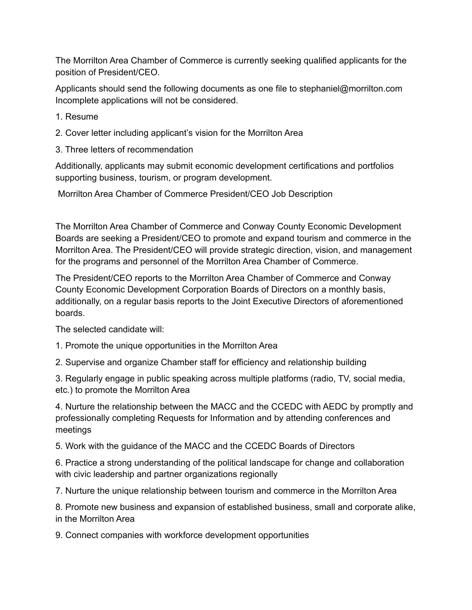The Morrilton Area Chamber of Commerce is currently seeking qualified applicants for the position of President/CEO.

Applicants should send the following documents as one file to stephaniel@morrilton.com Incomplete applications will not be considered.

1. Resume

- 2. Cover letter including applicant's vision for the Morrilton Area
- 3. Three letters of recommendation

Additionally, applicants may submit economic development certifications and portfolios supporting business, tourism, or program development.

Morrilton Area Chamber of Commerce President/CEO Job Description

The Morrilton Area Chamber of Commerce and Conway County Economic Development Boards are seeking a President/CEO to promote and expand tourism and commerce in the Morrilton Area. The President/CEO will provide strategic direction, vision, and management for the programs and personnel of the Morrilton Area Chamber of Commerce.

The President/CEO reports to the Morrilton Area Chamber of Commerce and Conway County Economic Development Corporation Boards of Directors on a monthly basis, additionally, on a regular basis reports to the Joint Executive Directors of aforementioned boards.

The selected candidate will:

1. Promote the unique opportunities in the Morrilton Area

2. Supervise and organize Chamber staff for efficiency and relationship building

3. Regularly engage in public speaking across multiple platforms (radio, TV, social media, etc.) to promote the Morrilton Area

4. Nurture the relationship between the MACC and the CCEDC with AEDC by promptly and professionally completing Requests for Information and by attending conferences and meetings

5. Work with the guidance of the MACC and the CCEDC Boards of Directors

6. Practice a strong understanding of the political landscape for change and collaboration with civic leadership and partner organizations regionally

7. Nurture the unique relationship between tourism and commerce in the Morrilton Area

8. Promote new business and expansion of established business, small and corporate alike, in the Morrilton Area

9. Connect companies with workforce development opportunities